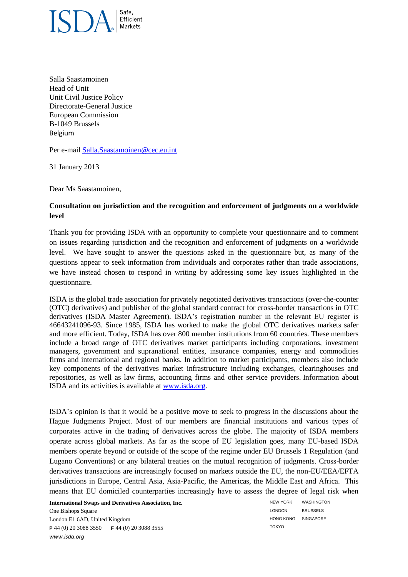

Salla Saastamoinen Head of Unit Unit Civil Justice Policy Directorate-General Justice European Commission B-1049 Brussels Belgium

Per e-mail [Salla.Saastamoinen@cec.eu.int](mailto:Salla.Saastamoinen@cec.eu.int)

31 January 2013

Dear Ms Saastamoinen,

## **Consultation on jurisdiction and the recognition and enforcement of judgments on a worldwide level**

Thank you for providing ISDA with an opportunity to complete your questionnaire and to comment on issues regarding jurisdiction and the recognition and enforcement of judgments on a worldwide level. We have sought to answer the questions asked in the questionnaire but, as many of the questions appear to seek information from individuals and corporates rather than trade associations, we have instead chosen to respond in writing by addressing some key issues highlighted in the questionnaire.

ISDA is the global trade association for privately negotiated derivatives transactions (over-the-counter (OTC) derivatives) and publisher of the global standard contract for cross-border transactions in OTC derivatives (ISDA Master Agreement). ISDA's registration number in the relevant EU register is 46643241096-93. Since 1985, ISDA has worked to make the global OTC derivatives markets safer and more efficient. Today, ISDA has over 800 member institutions from 60 countries. These members include a broad range of OTC derivatives market participants including corporations, investment managers, government and supranational entities, insurance companies, energy and commodities firms and international and regional banks. In addition to market participants, members also include key components of the derivatives market infrastructure including exchanges, clearinghouses and repositories, as well as law firms, accounting firms and other service providers. Information about ISDA and its activities is available at [www.isda.org.](http://www.isda.org/)

ISDA's opinion is that it would be a positive move to seek to progress in the discussions about the Hague Judgments Project. Most of our members are financial institutions and various types of corporates active in the trading of derivatives across the globe. The majority of ISDA members operate across global markets. As far as the scope of EU legislation goes, many EU-based ISDA members operate beyond or outside of the scope of the regime under EU Brussels 1 Regulation (and Lugano Conventions) or any bilateral treaties on the mutual recognition of judgments. Cross-border derivatives transactions are increasingly focused on markets outside the EU, the non-EU/EEA/EFTA jurisdictions in Europe, Central Asia, Asia-Pacific, the Americas, the Middle East and Africa. This means that EU domiciled counterparties increasingly have to assess the degree of legal risk when

**International Swaps and Derivatives Association, Inc.**

One Bishops Square London E1 6AD, United Kingdom **P** 44 (0) 20 3088 3550 **F** 44 (0) 20 3088 3555 *www.isda.org*

NEW YORK LONDON HONG KONG SINGAPORE TOKYO **WASHINGTON** BRUSSELS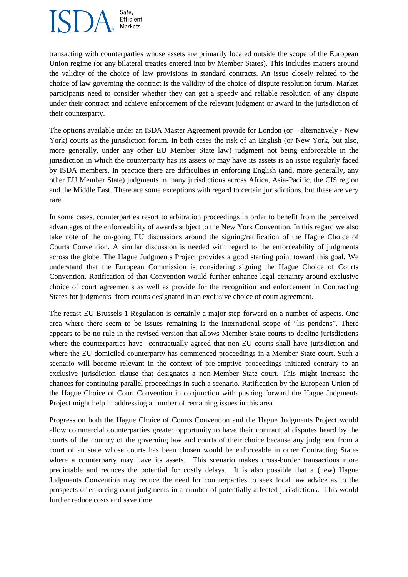## Safe, Efficient Markets

transacting with counterparties whose assets are primarily located outside the scope of the European Union regime (or any bilateral treaties entered into by Member States). This includes matters around the validity of the choice of law provisions in standard contracts. An issue closely related to the choice of law governing the contract is the validity of the choice of dispute resolution forum. Market participants need to consider whether they can get a speedy and reliable resolution of any dispute under their contract and achieve enforcement of the relevant judgment or award in the jurisdiction of their counterparty.

The options available under an ISDA Master Agreement provide for London (or – alternatively - New York) courts as the jurisdiction forum. In both cases the risk of an English (or New York, but also, more generally, under any other EU Member State law) judgment not being enforceable in the jurisdiction in which the counterparty has its assets or may have its assets is an issue regularly faced by ISDA members. In practice there are difficulties in enforcing English (and, more generally, any other EU Member State) judgments in many jurisdictions across Africa, Asia-Pacific, the CIS region and the Middle East. There are some exceptions with regard to certain jurisdictions, but these are very rare.

In some cases, counterparties resort to arbitration proceedings in order to benefit from the perceived advantages of the enforceability of awards subject to the New York Convention. In this regard we also take note of the on-going EU discussions around the signing/ratification of the Hague Choice of Courts Convention. A similar discussion is needed with regard to the enforceability of judgments across the globe. The Hague Judgments Project provides a good starting point toward this goal. We understand that the European Commission is considering signing the Hague Choice of Courts Convention. Ratification of that Convention would further enhance legal certainty around exclusive choice of court agreements as well as provide for the recognition and enforcement in Contracting States for judgments from courts designated in an exclusive choice of court agreement.

The recast EU Brussels 1 Regulation is certainly a major step forward on a number of aspects. One area where there seem to be issues remaining is the international scope of "lis pendens". There appears to be no rule in the revised version that allows Member State courts to decline jurisdictions where the counterparties have contractually agreed that non-EU courts shall have jurisdiction and where the EU domiciled counterparty has commenced proceedings in a Member State court. Such a scenario will become relevant in the context of pre-emptive proceedings initiated contrary to an exclusive jurisdiction clause that designates a non-Member State court. This might increase the chances for continuing parallel proceedings in such a scenario. Ratification by the European Union of the Hague Choice of Court Convention in conjunction with pushing forward the Hague Judgments Project might help in addressing a number of remaining issues in this area.

Progress on both the Hague Choice of Courts Convention and the Hague Judgments Project would allow commercial counterparties greater opportunity to have their contractual disputes heard by the courts of the country of the governing law and courts of their choice because any judgment from a court of an state whose courts has been chosen would be enforceable in other Contracting States where a counterparty may have its assets. This scenario makes cross-border transactions more predictable and reduces the potential for costly delays. It is also possible that a (new) Hague Judgments Convention may reduce the need for counterparties to seek local law advice as to the prospects of enforcing court judgments in a number of potentially affected jurisdictions. This would further reduce costs and save time.